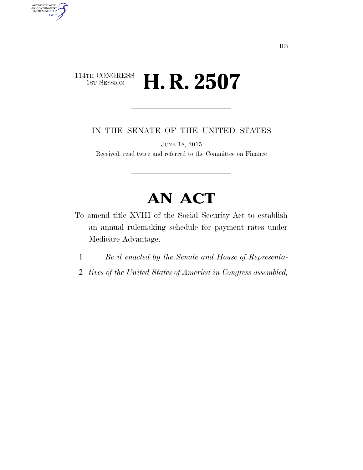## 114TH CONGRESS<br>1st Session H. R. 2507

AUTHENTICATED<br>U.S. GOVERNMENT<br>INFORMATION

**GPO** 

IN THE SENATE OF THE UNITED STATES

JUNE 18, 2015

Received; read twice and referred to the Committee on Finance

## **AN ACT**

- To amend title XVIII of the Social Security Act to establish an annual rulemaking schedule for payment rates under Medicare Advantage.
	- 1 *Be it enacted by the Senate and House of Representa-*
	- 2 *tives of the United States of America in Congress assembled,*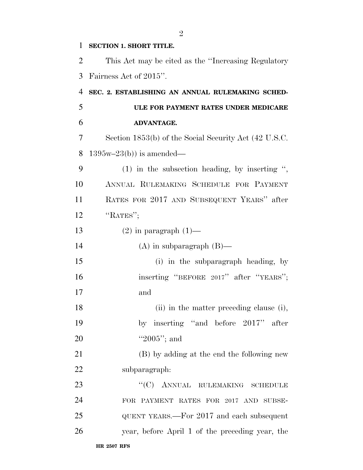## **SECTION 1. SHORT TITLE.**

| 2              | This Act may be cited as the "Increasing Regulatory"  |
|----------------|-------------------------------------------------------|
| 3              | Fairness Act of 2015".                                |
| $\overline{4}$ | SEC. 2. ESTABLISHING AN ANNUAL RULEMAKING SCHED-      |
| 5              | ULE FOR PAYMENT RATES UNDER MEDICARE                  |
| 6              | ADVANTAGE.                                            |
| 7              | Section 1853(b) of the Social Security Act (42 U.S.C. |
| 8              | $1395w-23(b)$ is amended—                             |
| 9              | $(1)$ in the subsection heading, by inserting ",      |
| 10             | ANNUAL RULEMAKING SCHEDULE FOR PAYMENT                |
| 11             | RATES FOR 2017 AND SUBSEQUENT YEARS" after            |
| 12             | "RATES";                                              |
| 13             | $(2)$ in paragraph $(1)$ —                            |
| 14             | $(A)$ in subparagraph $(B)$ —                         |
| 15             | (i) in the subparagraph heading, by                   |
| 16             | inserting "BEFORE 2017" after "YEARS";                |
| 17             | and                                                   |
| 18             | (ii) in the matter preceding clause (i),              |
| 19             | by inserting "and before 2017" after                  |
| 20             | "2005"; and                                           |
| 21             | (B) by adding at the end the following new            |
| 22             | subparagraph:                                         |
| 23             | "(C) ANNUAL RULEMAKING SCHEDULE                       |
| 24             | FOR PAYMENT RATES FOR 2017 AND SUBSE-                 |
| 25             | QUENT YEARS.—For 2017 and each subsequent             |
| 26             | year, before April 1 of the preceding year, the       |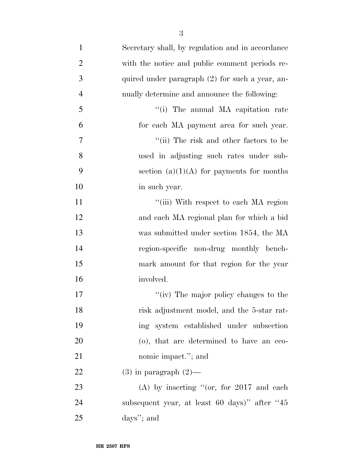| $\mathbf{1}$   | Secretary shall, by regulation and in accordance |
|----------------|--------------------------------------------------|
| $\overline{2}$ | with the notice and public comment periods re-   |
| 3              | quired under paragraph (2) for such a year, an-  |
| $\overline{4}$ | nually determine and announce the following:     |
| 5              | "(i) The annual MA capitation rate               |
| 6              | for each MA payment area for such year.          |
| 7              | "(ii) The risk and other factors to be           |
| 8              | used in adjusting such rates under sub-          |
| 9              | section $(a)(1)(A)$ for payments for months      |
| 10             | in such year.                                    |
| 11             | "(iii) With respect to each MA region            |
| 12             | and each MA regional plan for which a bid        |
| 13             | was submitted under section 1854, the MA         |
| 14             | region-specific non-drug monthly bench-          |
| 15             | mark amount for that region for the year         |
| 16             | involved.                                        |
| 17             | "(iv) The major policy changes to the            |
| 18             | risk adjustment model, and the 5-star rat-       |
| 19             | ing system established under subsection          |
| 20             | (o), that are determined to have an eco-         |
| 21             | nomic impact."; and                              |
| 22             | $(3)$ in paragraph $(2)$ —                       |
| 23             | (A) by inserting "(or, for $2017$ and each       |
| 24             | subsequent year, at least 60 days)" after "45    |
| 25             | days"; and                                       |